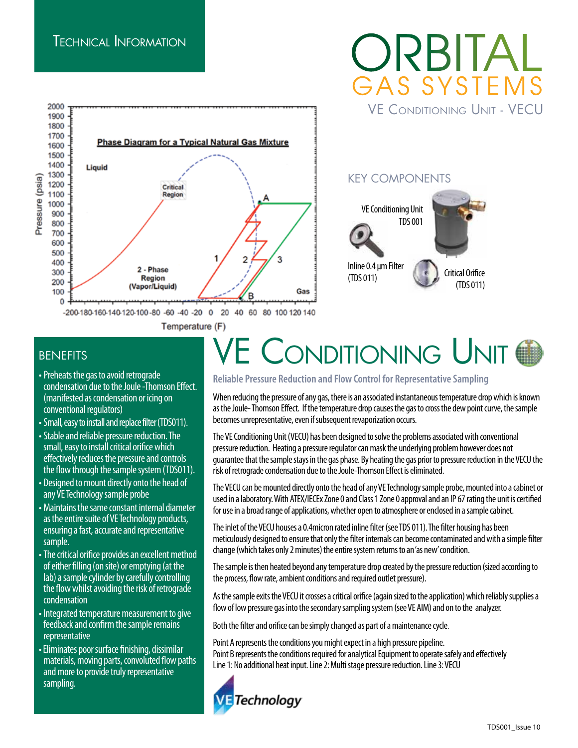#### Technical Information



### ORBITA GAS SYSTEMS VE Conditioning Unit - VECU

#### KEY COMPONENTS



#### **BENEFITS**

- condensation due to the Joule -Thomson Effect. (manifested as condensation or icing on conventional regulators)
- •Small, easy to install and replace filter (TDS011).
- •Stable and reliable pressure reduction. The small, easy to install critical orifice which effectively reduces the pressure and controls the flow through the sample system (TDS011).
- Designed to mount directly onto the head of any VE Technology sample probe
- Maintains the same constant internal diameter as the entire suite of VE Technology products, ensuring a fast, accurate and representative sample.
- •The critical orifice provides an excellent method of either filling (on site) or emptying (at the lab) a sample cylinder by carefully controlling the flow whilst avoiding the risk of retrograde condensation
- Integrated temperature measurement to give feedback and confirm the sample remains representative
- Eliminates poor surface finishing, dissimilar materials, moving parts, convoluted flow paths and more to provide truly representative sampling.

# BENEFITS<br>
• Preheats the gas to avoid retrograde<br>
Paliable Pressure Reduction and Flow Control for Representative Sampling

**Reliable Pressure Reduction and Flow Control for Representative Sampling** 

When reducing the pressure of any gas, there is an associated instantaneous temperature drop which is known as the Joule- Thomson Effect. If the temperature drop causes the gas to cross the dew point curve, the sample becomes unrepresentative, even if subsequent revaporization occurs.

The VE Conditioning Unit (VECU) has been designed to solve the problems associated with conventional pressure reduction. Heating a pressure regulator can mask the underlying problem however does not guarantee that the sample stays in the gas phase. By heating the gas prior to pressure reduction in the VECU the risk of retrograde condensation due to the Joule-Thomson Effect is eliminated.

The VECU can be mounted directly onto the head of any VE Technology sample probe, mounted into a cabinet or used in a laboratory. With ATEX/IECEx Zone 0 and Class 1 Zone 0 approval and an IP 67 rating the unit is certified for use in a broad range of applications, whether open to atmosphere or enclosed in a sample cabinet.

The inlet of the VECU houses a 0.4micron rated inline filter (see TDS 011). The filter housing has been meticulously designed to ensure that only the filter internals can become contaminated and with a simple filter change (which takes only 2 minutes) the entire system returns to an 'as new' condition.

The sample is then heated beyond any temperature drop created by the pressure reduction (sized according to the process, flow rate, ambient conditions and required outlet pressure).

As the sample exits the VECU it crosses a critical orifice (again sized to the application) which reliably supplies a flow of low pressure gas into the secondary sampling system (see VE AIM) and on to the analyzer.

Both the filter and orifice can be simply changed as part of a maintenance cycle.

Point A represents the conditions you might expect in a high pressure pipeline. Point B represents the conditions required for analytical Equipment to operate safely and effectively Line 1: No additional heat input. Line 2: Multi stage pressure reduction. Line 3: VECU